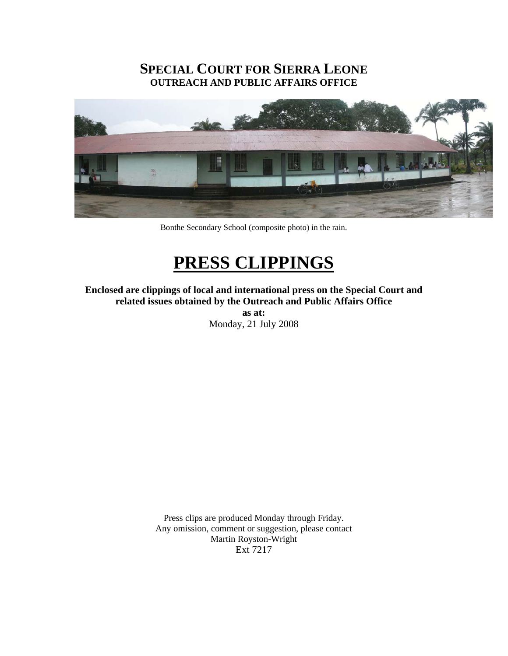## **SPECIAL COURT FOR SIERRA LEONE OUTREACH AND PUBLIC AFFAIRS OFFICE**



Bonthe Secondary School (composite photo) in the rain.

# **PRESS CLIPPINGS**

**Enclosed are clippings of local and international press on the Special Court and related issues obtained by the Outreach and Public Affairs Office** 

> **as at:**  Monday, 21 July 2008

Press clips are produced Monday through Friday. Any omission, comment or suggestion, please contact Martin Royston-Wright Ext 7217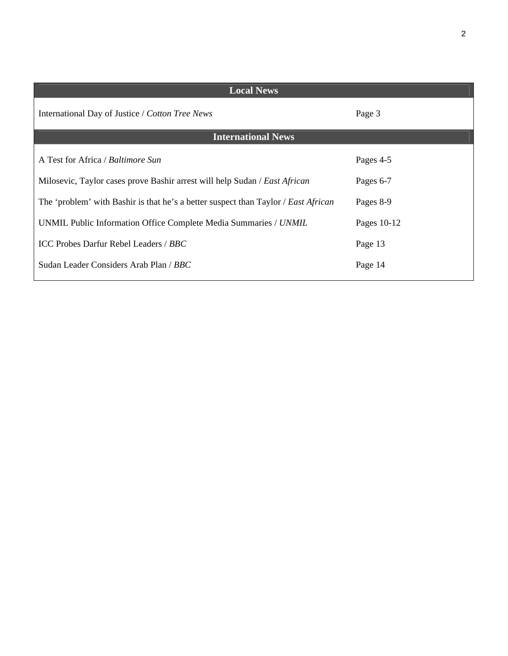| <b>Local News</b>                                                                  |             |
|------------------------------------------------------------------------------------|-------------|
| International Day of Justice / Cotton Tree News                                    | Page 3      |
| <b>International News</b>                                                          |             |
| A Test for Africa / Baltimore Sun                                                  | Pages 4-5   |
| Milosevic, Taylor cases prove Bashir arrest will help Sudan / East African         | Pages 6-7   |
| The 'problem' with Bashir is that he's a better suspect than Taylor / East African | Pages 8-9   |
| UNMIL Public Information Office Complete Media Summaries / UNMIL                   | Pages 10-12 |
| ICC Probes Darfur Rebel Leaders / BBC                                              | Page 13     |
| Sudan Leader Considers Arab Plan / BBC                                             | Page 14     |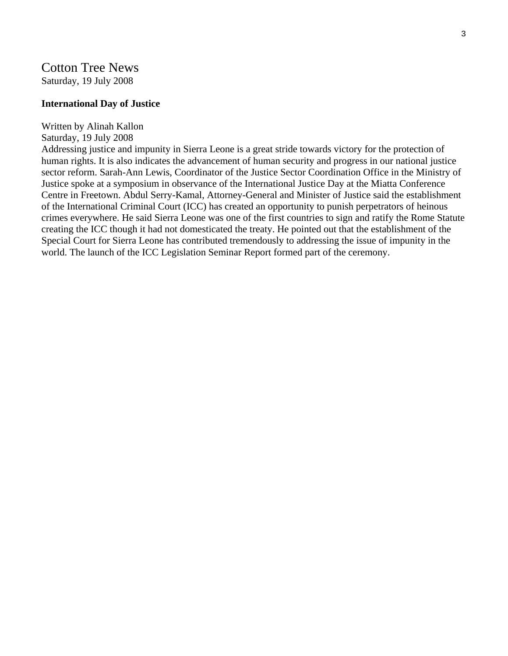## Cotton Tree News Saturday, 19 July 2008

#### **International Day of Justice**

#### Written by Alinah Kallon

#### Saturday, 19 July 2008

Addressing justice and impunity in Sierra Leone is a great stride towards victory for the protection of human rights. It is also indicates the advancement of human security and progress in our national justice sector reform. Sarah-Ann Lewis, Coordinator of the Justice Sector Coordination Office in the Ministry of Justice spoke at a symposium in observance of the International Justice Day at the Miatta Conference Centre in Freetown. Abdul Serry-Kamal, Attorney-General and Minister of Justice said the establishment of the International Criminal Court (ICC) has created an opportunity to punish perpetrators of heinous crimes everywhere. He said Sierra Leone was one of the first countries to sign and ratify the Rome Statute creating the ICC though it had not domesticated the treaty. He pointed out that the establishment of the Special Court for Sierra Leone has contributed tremendously to addressing the issue of impunity in the world. The launch of the ICC Legislation Seminar Report formed part of the ceremony.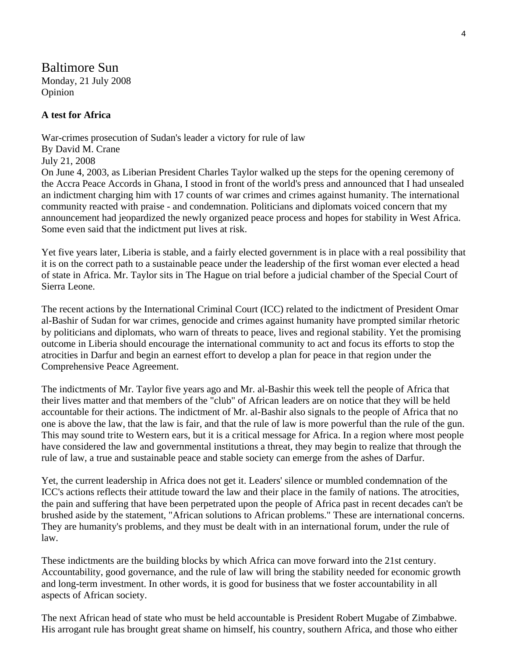Baltimore Sun Monday, 21 July 2008 Opinion

#### **A test for Africa**

War-crimes prosecution of Sudan's leader a victory for rule of law By David M. Crane July 21, 2008 On June 4, 2003, as Liberian President Charles Taylor walked up the steps for the opening ceremony of the Accra Peace Accords in Ghana, I stood in front of the world's press and announced that I had unsealed an indictment charging him with 17 counts of war crimes and crimes against humanity. The international community reacted with praise - and condemnation. Politicians and diplomats voiced concern that my announcement had jeopardized the newly organized peace process and hopes for stability in West Africa. Some even said that the indictment put lives at risk.

Yet five years later, Liberia is stable, and a fairly elected government is in place with a real possibility that it is on the correct path to a sustainable peace under the leadership of the first woman ever elected a head of state in Africa. Mr. Taylor sits in The Hague on trial before a judicial chamber of the Special Court of Sierra Leone.

The recent actions by the International Criminal Court (ICC) related to the indictment of President Omar al-Bashir of Sudan for war crimes, genocide and crimes against humanity have prompted similar rhetoric by politicians and diplomats, who warn of threats to peace, lives and regional stability. Yet the promising outcome in Liberia should encourage the international community to act and focus its efforts to stop the atrocities in Darfur and begin an earnest effort to develop a plan for peace in that region under the Comprehensive Peace Agreement.

The indictments of Mr. Taylor five years ago and Mr. al-Bashir this week tell the people of Africa that their lives matter and that members of the "club" of African leaders are on notice that they will be held accountable for their actions. The indictment of Mr. al-Bashir also signals to the people of Africa that no one is above the law, that the law is fair, and that the rule of law is more powerful than the rule of the gun. This may sound trite to Western ears, but it is a critical message for Africa. In a region where most people have considered the law and governmental institutions a threat, they may begin to realize that through the rule of law, a true and sustainable peace and stable society can emerge from the ashes of Darfur.

Yet, the current leadership in Africa does not get it. Leaders' silence or mumbled condemnation of the ICC's actions reflects their attitude toward the law and their place in the family of nations. The atrocities, the pain and suffering that have been perpetrated upon the people of Africa past in recent decades can't be brushed aside by the statement, "African solutions to African problems." These are international concerns. They are humanity's problems, and they must be dealt with in an international forum, under the rule of law.

These indictments are the building blocks by which Africa can move forward into the 21st century. Accountability, good governance, and the rule of law will bring the stability needed for economic growth and long-term investment. In other words, it is good for business that we foster accountability in all aspects of African society.

The next African head of state who must be held accountable is President Robert Mugabe of Zimbabwe. His arrogant rule has brought great shame on himself, his country, southern Africa, and those who either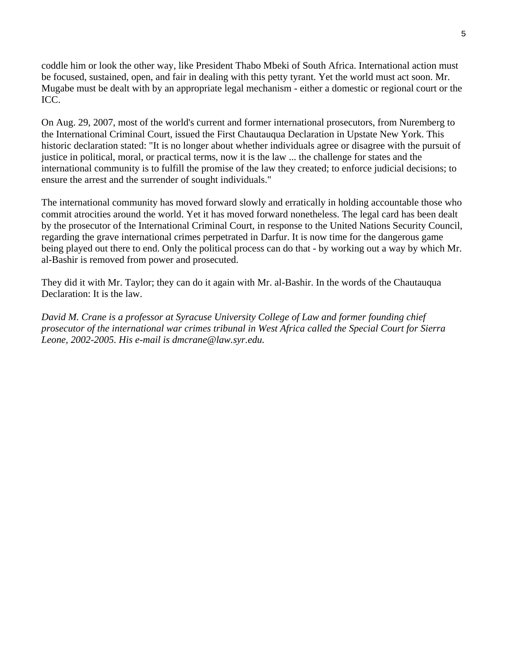coddle him or look the other way, like President Thabo Mbeki of South Africa. International action must be focused, sustained, open, and fair in dealing with this petty tyrant. Yet the world must act soon. Mr. Mugabe must be dealt with by an appropriate legal mechanism - either a domestic or regional court or the ICC.

On Aug. 29, 2007, most of the world's current and former international prosecutors, from Nuremberg to the International Criminal Court, issued the First Chautauqua Declaration in Upstate New York. This historic declaration stated: "It is no longer about whether individuals agree or disagree with the pursuit of justice in political, moral, or practical terms, now it is the law ... the challenge for states and the international community is to fulfill the promise of the law they created; to enforce judicial decisions; to ensure the arrest and the surrender of sought individuals."

The international community has moved forward slowly and erratically in holding accountable those who commit atrocities around the world. Yet it has moved forward nonetheless. The legal card has been dealt by the prosecutor of the International Criminal Court, in response to the United Nations Security Council, regarding the grave international crimes perpetrated in Darfur. It is now time for the dangerous game being played out there to end. Only the political process can do that - by working out a way by which Mr. al-Bashir is removed from power and prosecuted.

They did it with Mr. Taylor; they can do it again with Mr. al-Bashir. In the words of the Chautauqua Declaration: It is the law.

*David M. Crane is a professor at Syracuse University College of Law and former founding chief prosecutor of the international war crimes tribunal in West Africa called the Special Court for Sierra Leone, 2002-2005. His e-mail is dmcrane@law.syr.edu.*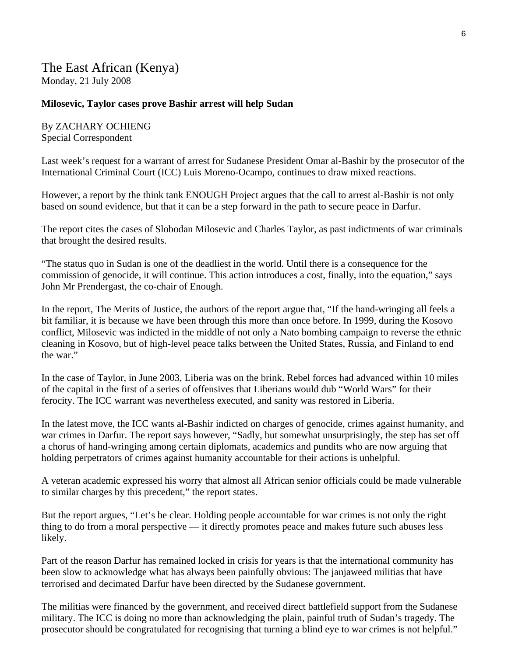## The East African (Kenya) Monday, 21 July 2008

#### **Milosevic, Taylor cases prove Bashir arrest will help Sudan**

By ZACHARY OCHIENG Special Correspondent

Last week's request for a warrant of arrest for Sudanese President Omar al-Bashir by the prosecutor of the International Criminal Court (ICC) Luis Moreno-Ocampo, continues to draw mixed reactions.

However, a report by the think tank ENOUGH Project argues that the call to arrest al-Bashir is not only based on sound evidence, but that it can be a step forward in the path to secure peace in Darfur.

The report cites the cases of Slobodan Milosevic and Charles Taylor, as past indictments of war criminals that brought the desired results.

"The status quo in Sudan is one of the deadliest in the world. Until there is a consequence for the commission of genocide, it will continue. This action introduces a cost, finally, into the equation," says John Mr Prendergast, the co-chair of Enough.

In the report, The Merits of Justice, the authors of the report argue that, "If the hand-wringing all feels a bit familiar, it is because we have been through this more than once before. In 1999, during the Kosovo conflict, Milosevic was indicted in the middle of not only a Nato bombing campaign to reverse the ethnic cleaning in Kosovo, but of high-level peace talks between the United States, Russia, and Finland to end the war."

In the case of Taylor, in June 2003, Liberia was on the brink. Rebel forces had advanced within 10 miles of the capital in the first of a series of offensives that Liberians would dub "World Wars" for their ferocity. The ICC warrant was nevertheless executed, and sanity was restored in Liberia.

In the latest move, the ICC wants al-Bashir indicted on charges of genocide, crimes against humanity, and war crimes in Darfur. The report says however, "Sadly, but somewhat unsurprisingly, the step has set off a chorus of hand-wringing among certain diplomats, academics and pundits who are now arguing that holding perpetrators of crimes against humanity accountable for their actions is unhelpful.

A veteran academic expressed his worry that almost all African senior officials could be made vulnerable to similar charges by this precedent," the report states.

But the report argues, "Let's be clear. Holding people accountable for war crimes is not only the right thing to do from a moral perspective — it directly promotes peace and makes future such abuses less likely.

Part of the reason Darfur has remained locked in crisis for years is that the international community has been slow to acknowledge what has always been painfully obvious: The janjaweed militias that have terrorised and decimated Darfur have been directed by the Sudanese government.

The militias were financed by the government, and received direct battlefield support from the Sudanese military. The ICC is doing no more than acknowledging the plain, painful truth of Sudan's tragedy. The prosecutor should be congratulated for recognising that turning a blind eye to war crimes is not helpful."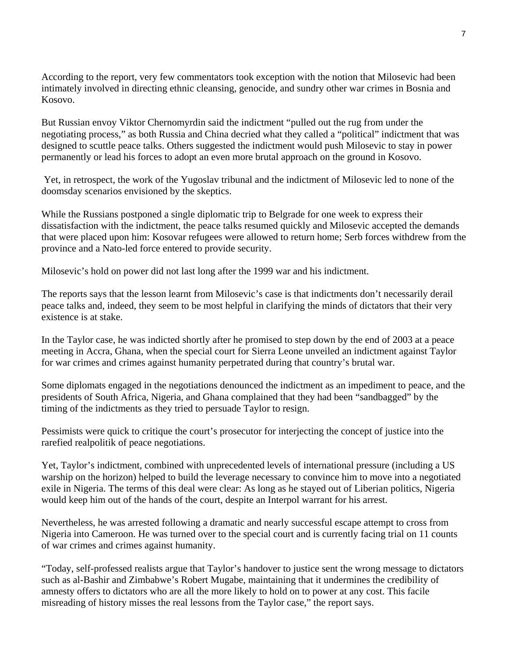According to the report, very few commentators took exception with the notion that Milosevic had been intimately involved in directing ethnic cleansing, genocide, and sundry other war crimes in Bosnia and Kosovo.

But Russian envoy Viktor Chernomyrdin said the indictment "pulled out the rug from under the negotiating process," as both Russia and China decried what they called a "political" indictment that was designed to scuttle peace talks. Others suggested the indictment would push Milosevic to stay in power permanently or lead his forces to adopt an even more brutal approach on the ground in Kosovo.

 Yet, in retrospect, the work of the Yugoslav tribunal and the indictment of Milosevic led to none of the doomsday scenarios envisioned by the skeptics.

While the Russians postponed a single diplomatic trip to Belgrade for one week to express their dissatisfaction with the indictment, the peace talks resumed quickly and Milosevic accepted the demands that were placed upon him: Kosovar refugees were allowed to return home; Serb forces withdrew from the province and a Nato-led force entered to provide security.

Milosevic's hold on power did not last long after the 1999 war and his indictment.

The reports says that the lesson learnt from Milosevic's case is that indictments don't necessarily derail peace talks and, indeed, they seem to be most helpful in clarifying the minds of dictators that their very existence is at stake.

In the Taylor case, he was indicted shortly after he promised to step down by the end of 2003 at a peace meeting in Accra, Ghana, when the special court for Sierra Leone unveiled an indictment against Taylor for war crimes and crimes against humanity perpetrated during that country's brutal war.

Some diplomats engaged in the negotiations denounced the indictment as an impediment to peace, and the presidents of South Africa, Nigeria, and Ghana complained that they had been "sandbagged" by the timing of the indictments as they tried to persuade Taylor to resign.

Pessimists were quick to critique the court's prosecutor for interjecting the concept of justice into the rarefied realpolitik of peace negotiations.

Yet, Taylor's indictment, combined with unprecedented levels of international pressure (including a US warship on the horizon) helped to build the leverage necessary to convince him to move into a negotiated exile in Nigeria. The terms of this deal were clear: As long as he stayed out of Liberian politics, Nigeria would keep him out of the hands of the court, despite an Interpol warrant for his arrest.

Nevertheless, he was arrested following a dramatic and nearly successful escape attempt to cross from Nigeria into Cameroon. He was turned over to the special court and is currently facing trial on 11 counts of war crimes and crimes against humanity.

"Today, self-professed realists argue that Taylor's handover to justice sent the wrong message to dictators such as al-Bashir and Zimbabwe's Robert Mugabe, maintaining that it undermines the credibility of amnesty offers to dictators who are all the more likely to hold on to power at any cost. This facile misreading of history misses the real lessons from the Taylor case," the report says.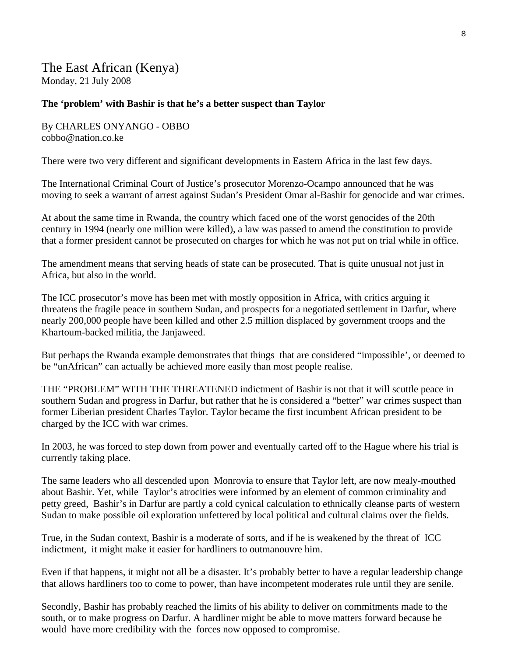## The East African (Kenya) Monday, 21 July 2008

#### **The 'problem' with Bashir is that he's a better suspect than Taylor**

By CHARLES ONYANGO - OBBO cobbo@nation.co.ke

There were two very different and significant developments in Eastern Africa in the last few days.

The International Criminal Court of Justice's prosecutor Morenzo-Ocampo announced that he was moving to seek a warrant of arrest against Sudan's President Omar al-Bashir for genocide and war crimes.

At about the same time in Rwanda, the country which faced one of the worst genocides of the 20th century in 1994 (nearly one million were killed), a law was passed to amend the constitution to provide that a former president cannot be prosecuted on charges for which he was not put on trial while in office.

The amendment means that serving heads of state can be prosecuted. That is quite unusual not just in Africa, but also in the world.

The ICC prosecutor's move has been met with mostly opposition in Africa, with critics arguing it threatens the fragile peace in southern Sudan, and prospects for a negotiated settlement in Darfur, where nearly 200,000 people have been killed and other 2.5 million displaced by government troops and the Khartoum-backed militia, the Janjaweed.

But perhaps the Rwanda example demonstrates that things that are considered "impossible', or deemed to be "unAfrican" can actually be achieved more easily than most people realise.

THE "PROBLEM" WITH THE THREATENED indictment of Bashir is not that it will scuttle peace in southern Sudan and progress in Darfur, but rather that he is considered a "better" war crimes suspect than former Liberian president Charles Taylor. Taylor became the first incumbent African president to be charged by the ICC with war crimes.

In 2003, he was forced to step down from power and eventually carted off to the Hague where his trial is currently taking place.

The same leaders who all descended upon Monrovia to ensure that Taylor left, are now mealy-mouthed about Bashir. Yet, while Taylor's atrocities were informed by an element of common criminality and petty greed, Bashir's in Darfur are partly a cold cynical calculation to ethnically cleanse parts of western Sudan to make possible oil exploration unfettered by local political and cultural claims over the fields.

True, in the Sudan context, Bashir is a moderate of sorts, and if he is weakened by the threat of ICC indictment, it might make it easier for hardliners to outmanouvre him.

Even if that happens, it might not all be a disaster. It's probably better to have a regular leadership change that allows hardliners too to come to power, than have incompetent moderates rule until they are senile.

Secondly, Bashir has probably reached the limits of his ability to deliver on commitments made to the south, or to make progress on Darfur. A hardliner might be able to move matters forward because he would have more credibility with the forces now opposed to compromise.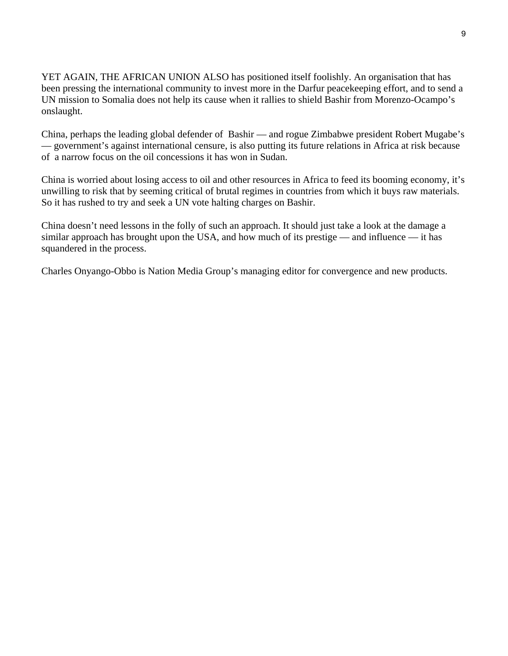YET AGAIN, THE AFRICAN UNION ALSO has positioned itself foolishly. An organisation that has been pressing the international community to invest more in the Darfur peacekeeping effort, and to send a UN mission to Somalia does not help its cause when it rallies to shield Bashir from Morenzo-Ocampo's onslaught.

China, perhaps the leading global defender of Bashir — and rogue Zimbabwe president Robert Mugabe's — government's against international censure, is also putting its future relations in Africa at risk because of a narrow focus on the oil concessions it has won in Sudan.

China is worried about losing access to oil and other resources in Africa to feed its booming economy, it's unwilling to risk that by seeming critical of brutal regimes in countries from which it buys raw materials. So it has rushed to try and seek a UN vote halting charges on Bashir.

China doesn't need lessons in the folly of such an approach. It should just take a look at the damage a similar approach has brought upon the USA, and how much of its prestige — and influence — it has squandered in the process.

Charles Onyango-Obbo is Nation Media Group's managing editor for convergence and new products.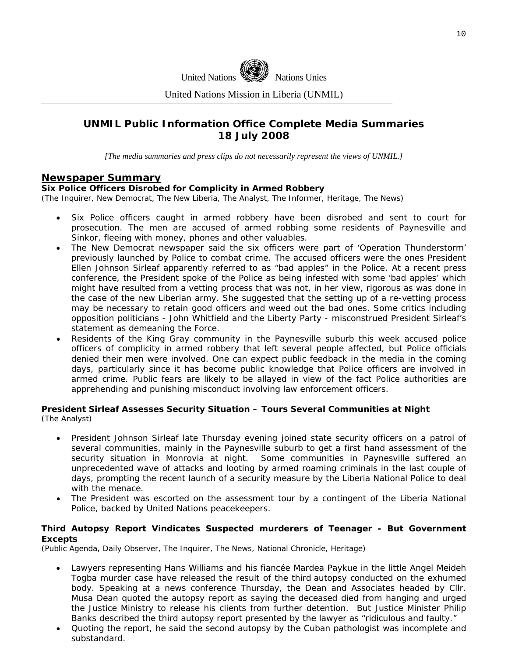

United Nations Mission in Liberia (UNMIL)

## **UNMIL Public Information Office Complete Media Summaries 18 July 2008**

*[The media summaries and press clips do not necessarily represent the views of UNMIL.]* 

#### **Newspaper Summary**

#### **Six Police Officers Disrobed for Complicity in Armed Robbery**

(The Inquirer, New Democrat, The New Liberia, The Analyst, The Informer, Heritage, The News)

- Six Police officers caught in armed robbery have been disrobed and sent to court for prosecution. The men are accused of armed robbing some residents of Paynesville and Sinkor, fleeing with money, phones and other valuables.
- The New Democrat newspaper said the six officers were part of 'Operation Thunderstorm' previously launched by Police to combat crime. The accused officers were the ones President Ellen Johnson Sirleaf apparently referred to as "bad apples" in the Police. At a recent press conference, the President spoke of the Police as being infested with some 'bad apples' which might have resulted from a vetting process that was not, in her view, rigorous as was done in the case of the new Liberian army. She suggested that the setting up of a re-vetting process may be necessary to retain good officers and weed out the bad ones. Some critics including opposition politicians - John Whitfield and the Liberty Party - misconstrued President Sirleaf's statement as demeaning the Force.
- Residents of the King Gray community in the Paynesville suburb this week accused police officers of complicity in armed robbery that left several people affected, but Police officials denied their men were involved. One can expect public feedback in the media in the coming days, particularly since it has become public knowledge that Police officers are involved in armed crime. Public fears are likely to be allayed in view of the fact Police authorities are apprehending and punishing misconduct involving law enforcement officers.

#### **President Sirleaf Assesses Security Situation – Tours Several Communities at Night**  (The Analyst)

- President Johnson Sirleaf late Thursday evening joined state security officers on a patrol of several communities, mainly in the Paynesville suburb to get a first hand assessment of the security situation in Monrovia at night. Some communities in Paynesville suffered an unprecedented wave of attacks and looting by armed roaming criminals in the last couple of days, prompting the recent launch of a security measure by the Liberia National Police to deal with the menace.
- The President was escorted on the assessment tour by a contingent of the Liberia National Police, backed by United Nations peacekeepers.

#### **Third Autopsy Report Vindicates Suspected murderers of Teenager - But Government Excepts**

(Public Agenda, Daily Observer, The Inquirer, The News, National Chronicle, Heritage)

- Lawyers representing Hans Williams and his fiancée Mardea Paykue in the little Angel Meideh Togba murder case have released the result of the third autopsy conducted on the exhumed body. Speaking at a news conference Thursday, the Dean and Associates headed by Cllr. Musa Dean quoted the autopsy report as saying the deceased died from hanging and urged the Justice Ministry to release his clients from further detention. But Justice Minister Philip Banks described the third autopsy report presented by the lawyer as "ridiculous and faulty."
- Quoting the report, he said the second autopsy by the Cuban pathologist was incomplete and substandard.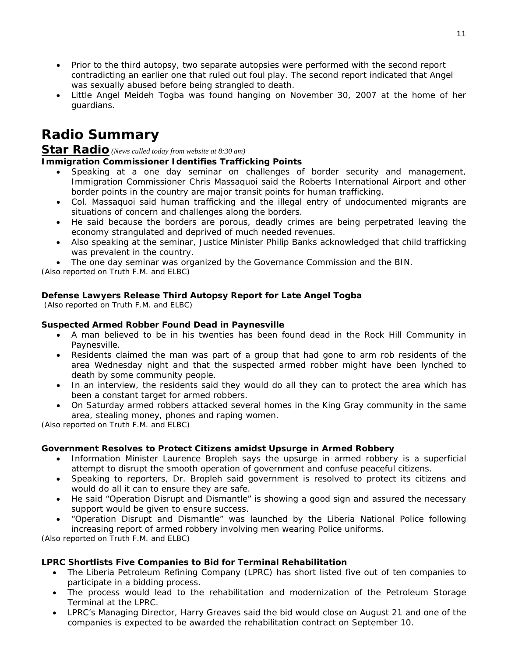- Prior to the third autopsy, two separate autopsies were performed with the second report contradicting an earlier one that ruled out foul play. The second report indicated that Angel was sexually abused before being strangled to death.
- Little Angel Meideh Togba was found hanging on November 30, 2007 at the home of her guardians.

## **Radio Summary**

## **Star Radio** *(News culled today from website at 8:30 am)*

#### **Immigration Commissioner Identifies Trafficking Points**

- Speaking at a one day seminar on challenges of border security and management, Immigration Commissioner Chris Massaquoi said the Roberts International Airport and other border points in the country are major transit points for human trafficking.
- Col. Massaquoi said human trafficking and the illegal entry of undocumented migrants are situations of concern and challenges along the borders.
- He said because the borders are porous, deadly crimes are being perpetrated leaving the economy strangulated and deprived of much needed revenues.
- Also speaking at the seminar, Justice Minister Philip Banks acknowledged that child trafficking was prevalent in the country.

The one day seminar was organized by the Governance Commission and the BIN.

*(Also reported on Truth F.M. and ELBC)* 

#### **Defense Lawyers Release Third Autopsy Report for Late Angel Togba**

 *(Also reported on Truth F.M. and ELBC)* 

#### **Suspected Armed Robber Found Dead in Paynesville**

- A man believed to be in his twenties has been found dead in the Rock Hill Community in Paynesville.
- Residents claimed the man was part of a group that had gone to arm rob residents of the area Wednesday night and that the suspected armed robber might have been lynched to death by some community people.
- In an interview, the residents said they would do all they can to protect the area which has been a constant target for armed robbers.
- On Saturday armed robbers attacked several homes in the King Gray community in the same area, stealing money, phones and raping women.

*(Also reported on Truth F.M. and ELBC)*

#### **Government Resolves to Protect Citizens amidst Upsurge in Armed Robbery**

- Information Minister Laurence Bropleh says the upsurge in armed robbery is a superficial attempt to disrupt the smooth operation of government and confuse peaceful citizens.
- Speaking to reporters, Dr. Bropleh said government is resolved to protect its citizens and would do all it can to ensure they are safe.
- He said "Operation Disrupt and Dismantle" is showing a good sign and assured the necessary support would be given to ensure success.
- "Operation Disrupt and Dismantle" was launched by the Liberia National Police following increasing report of armed robbery involving men wearing Police uniforms.

*(Also reported on Truth F.M. and ELBC)* 

#### **LPRC Shortlists Five Companies to Bid for Terminal Rehabilitation**

- The Liberia Petroleum Refining Company (LPRC) has short listed five out of ten companies to participate in a bidding process.
- The process would lead to the rehabilitation and modernization of the Petroleum Storage Terminal at the LPRC.
- LPRC's Managing Director, Harry Greaves said the bid would close on August 21 and one of the companies is expected to be awarded the rehabilitation contract on September 10.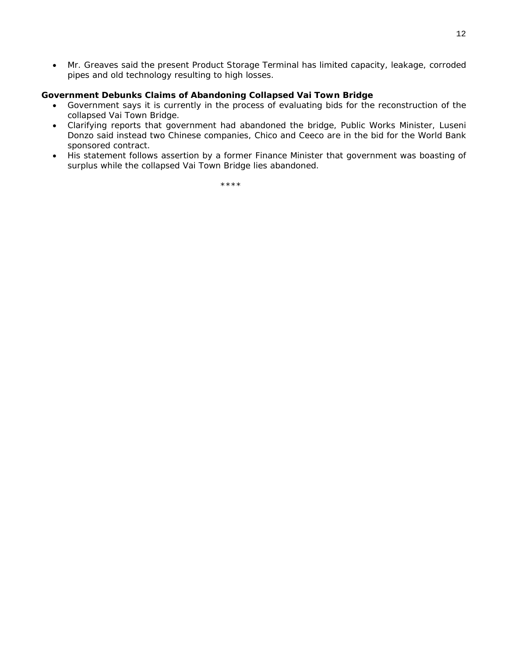• Mr. Greaves said the present Product Storage Terminal has limited capacity, leakage, corroded pipes and old technology resulting to high losses.

#### **Government Debunks Claims of Abandoning Collapsed Vai Town Bridge**

- Government says it is currently in the process of evaluating bids for the reconstruction of the collapsed Vai Town Bridge.
- Clarifying reports that government had abandoned the bridge, Public Works Minister, Luseni Donzo said instead two Chinese companies, Chico and Ceeco are in the bid for the World Bank sponsored contract.
- His statement follows assertion by a former Finance Minister that government was boasting of surplus while the collapsed Vai Town Bridge lies abandoned.

\*\*\*\*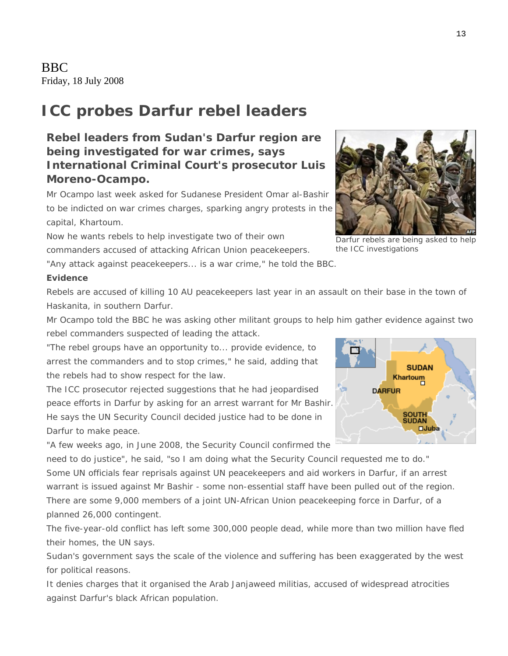BBC Friday, 18 July 2008

## **ICC probes Darfur rebel leaders**

## **Rebel leaders from Sudan's Darfur region are being investigated for war crimes, says International Criminal Court's prosecutor Luis Moreno-Ocampo.**

Mr Ocampo last week asked for Sudanese President Omar al-Bashir to be indicted on war crimes charges, sparking angry protests in the capital, Khartoum.

Now he wants rebels to help investigate two of their own

commanders accused of attacking African Union peacekeepers.

"Any attack against peacekeepers... is a war crime," he told the BBC.

#### **Evidence**

Rebels are accused of killing 10 AU peacekeepers last year in an assault on their base in the town of Haskanita, in southern Darfur.

Mr Ocampo told the BBC he was asking other militant groups to help him gather evidence against two rebel commanders suspected of leading the attack.

"The rebel groups have an opportunity to... provide evidence, to arrest the commanders and to stop crimes," he said, adding that the rebels had to show respect for the law.

The ICC prosecutor rejected suggestions that he had jeopardised peace efforts in Darfur by asking for an arrest warrant for Mr Bashir. He says the UN Security Council decided justice had to be done in Darfur to make peace.

"A few weeks ago, in June 2008, the Security Council confirmed the

need to do justice", he said, "so I am doing what the Security Council requested me to do." Some UN officials fear reprisals against UN peacekeepers and aid workers in Darfur, if an arrest warrant is issued against Mr Bashir - some non-essential staff have been pulled out of the region. There are some 9,000 members of a joint UN-African Union peacekeeping force in Darfur, of a planned 26,000 contingent.

The five-year-old conflict has left some 300,000 people dead, while more than two million have fled their homes, the UN says.

Sudan's government says the scale of the violence and suffering has been exaggerated by the west for political reasons.

It denies charges that it organised the Arab Janjaweed militias, accused of widespread atrocities against Darfur's black African population.







Darfur rebels are being asked to help the ICC investigations